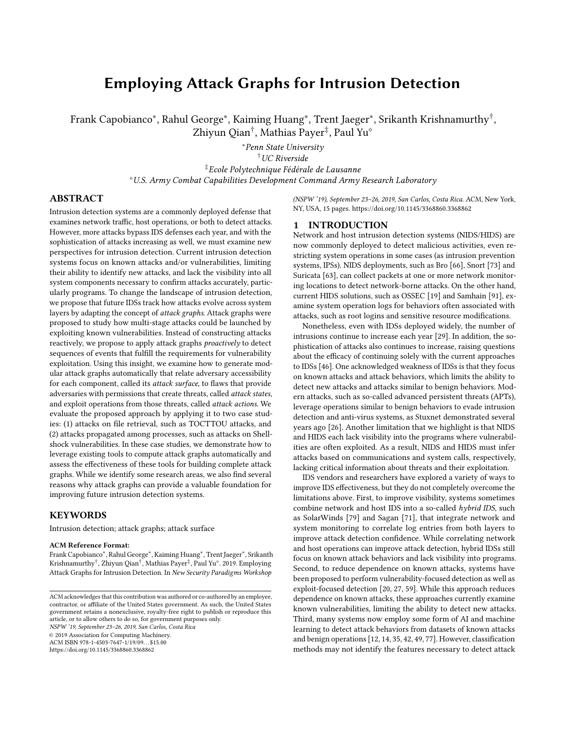# Employing Attack Graphs for Intrusion Detection

Frank Capobianco\*, Rahul George\*, Kaiming Huang\*, Trent Jaeger\*, Srikanth Krishnamurthy<sup>†</sup>, Zhiyun Qian<sup>†</sup>, Mathias Payer<sup>‡</sup>, Paul Yu°

> <sup>∗</sup>Penn State University †UC Riverside ‡Ecole Polytechnique Fédérale de Lausanne <sup>⋄</sup>U.S. Army Combat Capabilities Development Command Army Research Laboratory

## ABSTRACT

Intrusion detection systems are a commonly deployed defense that examines network traffic, host operations, or both to detect attacks. However, more attacks bypass IDS defenses each year, and with the sophistication of attacks increasing as well, we must examine new perspectives for intrusion detection. Current intrusion detection systems focus on known attacks and/or vulnerabilities, limiting their ability to identify new attacks, and lack the visibility into all system components necessary to confirm attacks accurately, particularly programs. To change the landscape of intrusion detection, we propose that future IDSs track how attacks evolve across system layers by adapting the concept of attack graphs. Attack graphs were proposed to study how multi-stage attacks could be launched by exploiting known vulnerabilities. Instead of constructing attacks reactively, we propose to apply attack graphs proactively to detect sequences of events that fulfill the requirements for vulnerability exploitation. Using this insight, we examine how to generate modular attack graphs automatically that relate adversary accessibility for each component, called its attack surface, to flaws that provide adversaries with permissions that create threats, called attack states, and exploit operations from those threats, called attack actions. We evaluate the proposed approach by applying it to two case studies: (1) attacks on file retrieval, such as TOCTTOU attacks, and (2) attacks propagated among processes, such as attacks on Shellshock vulnerabilities. In these case studies, we demonstrate how to leverage existing tools to compute attack graphs automatically and assess the effectiveness of these tools for building complete attack graphs. While we identify some research areas, we also find several reasons why attack graphs can provide a valuable foundation for improving future intrusion detection systems.

#### **KEYWORDS**

Intrusion detection; attack graphs; attack surface

#### ACM Reference Format:

Frank Capobianco<sup>∗</sup> , Rahul George<sup>∗</sup> , Kaiming Huang<sup>∗</sup> , Trent Jaeger<sup>∗</sup> , Srikanth Krishnamurthy<sup>†</sup>, Zhiyun Qian<sup>†</sup>, Mathias Payer<sup>‡</sup>, Paul Yu°. 2019. Employing Attack Graphs for Intrusion Detection. In New Security Paradigms Workshop

NSPW '19, September 23-26, 2019, San Carlos, Costa Rica

© 2019 Association for Computing Machinery.

ACM ISBN 978-1-4503-7647-1/19/09. . . \$15.00

https://doi.org/10.1145/3368860.3368862

(NSPW '19), September 23-26, 2019, San Carlos, Costa Rica. ACM, New York, NY, USA, 15 pages. https://doi.org/10.1145/3368860.3368862

#### 1 INTRODUCTION

Network and host intrusion detection systems (NIDS/HIDS) are now commonly deployed to detect malicious activities, even restricting system operations in some cases (as intrusion prevention systems, IPSs). NIDS deployments, such as Bro [66], Snort [73] and Suricata [63], can collect packets at one or more network monitoring locations to detect network-borne attacks. On the other hand, current HIDS solutions, such as OSSEC [19] and Samhain [91], examine system operation logs for behaviors often associated with attacks, such as root logins and sensitive resource modifications.

Nonetheless, even with IDSs deployed widely, the number of intrusions continue to increase each year [29]. In addition, the sophistication of attacks also continues to increase, raising questions about the efficacy of continuing solely with the current approaches to IDSs [46]. One acknowledged weakness of IDSs is that they focus on known attacks and attack behaviors, which limits the ability to detect new attacks and attacks similar to benign behaviors. Modern attacks, such as so-called advanced persistent threats (APTs), leverage operations similar to benign behaviors to evade intrusion detection and anti-virus systems, as Stuxnet demonstrated several years ago [26]. Another limitation that we highlight is that NIDS and HIDS each lack visibility into the programs where vulnerabilities are often exploited. As a result, NIDS and HIDS must infer attacks based on communications and system calls, respectively, lacking critical information about threats and their exploitation.

IDS vendors and researchers have explored a variety of ways to improve IDS effectiveness, but they do not completely overcome the limitations above. First, to improve visibility, systems sometimes combine network and host IDS into a so-called hybrid IDS, such as SolarWinds [79] and Sagan [71], that integrate network and system monitoring to correlate log entries from both layers to improve attack detection confidence. While correlating network and host operations can improve attack detection, hybrid IDSs still focus on known attack behaviors and lack visibility into programs. Second, to reduce dependence on known attacks, systems have been proposed to perform vulnerability-focused detection as well as exploit-focused detection [20, 27, 59]. While this approach reduces dependence on known attacks, these approaches currently examine known vulnerabilities, limiting the ability to detect new attacks. Third, many systems now employ some form of AI and machine learning to detect attack behaviors from datasets of known attacks and benign operations [12, 14, 35, 42, 49, 77]. However, classification methods may not identify the features necessary to detect attack

ACM acknowledges that this contribution was authored or co-authored by an employee, contractor, or affiliate of the United States government. As such, the United States government retains a nonexclusive, royalty-free right to publish or reproduce this article, or to allow others to do so, for government purposes only.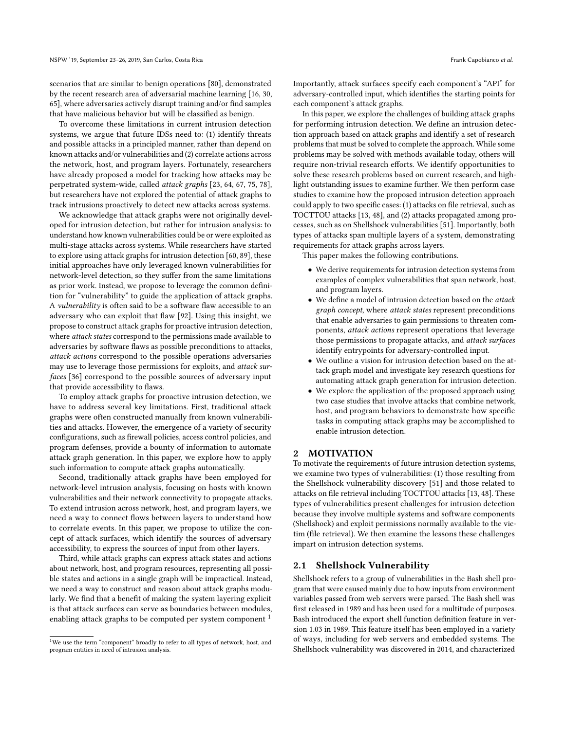scenarios that are similar to benign operations [80], demonstrated by the recent research area of adversarial machine learning [16, 30, 65], where adversaries actively disrupt training and/or find samples that have malicious behavior but will be classified as benign.

To overcome these limitations in current intrusion detection systems, we argue that future IDSs need to: (1) identify threats and possible attacks in a principled manner, rather than depend on known attacks and/or vulnerabilities and (2) correlate actions across the network, host, and program layers. Fortunately, researchers have already proposed a model for tracking how attacks may be perpetrated system-wide, called attack graphs [23, 64, 67, 75, 78], but researchers have not explored the potential of attack graphs to track intrusions proactively to detect new attacks across systems.

We acknowledge that attack graphs were not originally developed for intrusion detection, but rather for intrusion analysis: to understand how known vulnerabilities could be or were exploited as multi-stage attacks across systems. While researchers have started to explore using attack graphs for intrusion detection [60, 89], these initial approaches have only leveraged known vulnerabilities for network-level detection, so they suffer from the same limitations as prior work. Instead, we propose to leverage the common definition for "vulnerability" to guide the application of attack graphs. A vulnerability is often said to be a software flaw accessible to an adversary who can exploit that flaw [92]. Using this insight, we propose to construct attack graphs for proactive intrusion detection, where attack states correspond to the permissions made available to adversaries by software flaws as possible preconditions to attacks, attack actions correspond to the possible operations adversaries may use to leverage those permissions for exploits, and attack surfaces [36] correspond to the possible sources of adversary input that provide accessibility to flaws.

To employ attack graphs for proactive intrusion detection, we have to address several key limitations. First, traditional attack graphs were often constructed manually from known vulnerabilities and attacks. However, the emergence of a variety of security configurations, such as firewall policies, access control policies, and program defenses, provide a bounty of information to automate attack graph generation. In this paper, we explore how to apply such information to compute attack graphs automatically.

Second, traditionally attack graphs have been employed for network-level intrusion analysis, focusing on hosts with known vulnerabilities and their network connectivity to propagate attacks. To extend intrusion across network, host, and program layers, we need a way to connect flows between layers to understand how to correlate events. In this paper, we propose to utilize the concept of attack surfaces, which identify the sources of adversary accessibility, to express the sources of input from other layers.

Third, while attack graphs can express attack states and actions about network, host, and program resources, representing all possible states and actions in a single graph will be impractical. Instead, we need a way to construct and reason about attack graphs modularly. We find that a benefit of making the system layering explicit is that attack surfaces can serve as boundaries between modules, enabling attack graphs to be computed per system component<sup>1</sup>

Importantly, attack surfaces specify each component's "API" for adversary-controlled input, which identifies the starting points for each component's attack graphs.

In this paper, we explore the challenges of building attack graphs for performing intrusion detection. We define an intrusion detection approach based on attack graphs and identify a set of research problems that must be solved to complete the approach. While some problems may be solved with methods available today, others will require non-trivial research efforts. We identify opportunities to solve these research problems based on current research, and highlight outstanding issues to examine further. We then perform case studies to examine how the proposed intrusion detection approach could apply to two specific cases: (1) attacks on file retrieval, such as TOCTTOU attacks [13, 48], and (2) attacks propagated among processes, such as on Shellshock vulnerabilities [51]. Importantly, both types of attacks span multiple layers of a system, demonstrating requirements for attack graphs across layers.

This paper makes the following contributions.

- We derive requirements for intrusion detection systems from examples of complex vulnerabilities that span network, host, and program layers.
- We define a model of intrusion detection based on the attack graph concept, where attack states represent preconditions that enable adversaries to gain permissions to threaten components, attack actions represent operations that leverage those permissions to propagate attacks, and attack surfaces identify entrypoints for adversary-controlled input.
- We outline a vision for intrusion detection based on the attack graph model and investigate key research questions for automating attack graph generation for intrusion detection.
- We explore the application of the proposed approach using two case studies that involve attacks that combine network, host, and program behaviors to demonstrate how specific tasks in computing attack graphs may be accomplished to enable intrusion detection.

#### 2 MOTIVATION

To motivate the requirements of future intrusion detection systems, we examine two types of vulnerabilities: (1) those resulting from the Shellshock vulnerability discovery [51] and those related to attacks on file retrieval including TOCTTOU attacks [13, 48]. These types of vulnerabilities present challenges for intrusion detection because they involve multiple systems and software components (Shellshock) and exploit permissions normally available to the victim (file retrieval). We then examine the lessons these challenges impart on intrusion detection systems.

#### 2.1 Shellshock Vulnerability

Shellshock refers to a group of vulnerabilities in the Bash shell program that were caused mainly due to how inputs from environment variables passed from web servers were parsed. The Bash shell was first released in 1989 and has been used for a multitude of purposes. Bash introduced the export shell function definition feature in version 1.03 in 1989. This feature itself has been employed in a variety of ways, including for web servers and embedded systems. The Shellshock vulnerability was discovered in 2014, and characterized

<sup>&</sup>lt;sup>1</sup>We use the term "component" broadly to refer to all types of network, host, and program entities in need of intrusion analysis.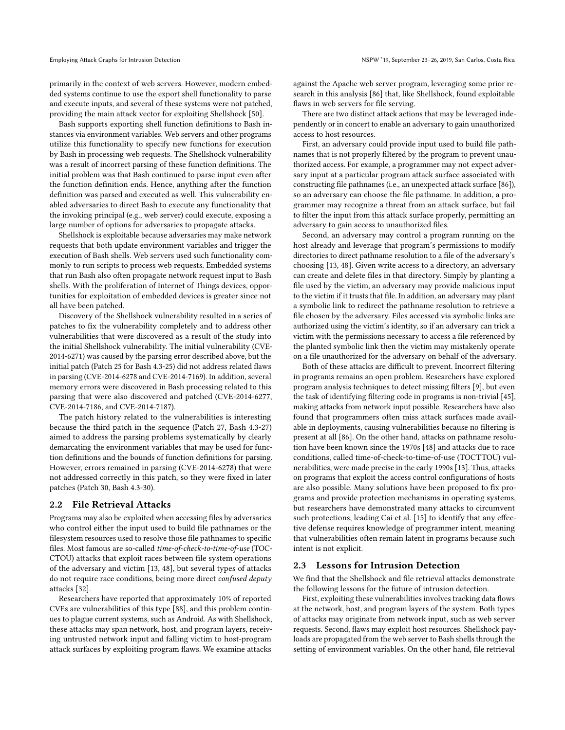Employing Attack Graphs for Intrusion Detection NSPU intervals and According to the NSPW '19, September 23-26, 2019, San Carlos, Costa Rica

primarily in the context of web servers. However, modern embedded systems continue to use the export shell functionality to parse and execute inputs, and several of these systems were not patched, providing the main attack vector for exploiting Shellshock [50].

Bash supports exporting shell function definitions to Bash instances via environment variables. Web servers and other programs utilize this functionality to specify new functions for execution by Bash in processing web requests. The Shellshock vulnerability was a result of incorrect parsing of these function definitions. The initial problem was that Bash continued to parse input even after the function definition ends. Hence, anything after the function definition was parsed and executed as well. This vulnerability enabled adversaries to direct Bash to execute any functionality that the invoking principal (e.g., web server) could execute, exposing a large number of options for adversaries to propagate attacks.

Shellshock is exploitable because adversaries may make network requests that both update environment variables and trigger the execution of Bash shells. Web servers used such functionality commonly to run scripts to process web requests. Embedded systems that run Bash also often propagate network request input to Bash shells. With the proliferation of Internet of Things devices, opportunities for exploitation of embedded devices is greater since not all have been patched.

Discovery of the Shellshock vulnerability resulted in a series of patches to fix the vulnerability completely and to address other vulnerabilities that were discovered as a result of the study into the initial Shellshock vulnerability. The initial vulnerability (CVE-2014-6271) was caused by the parsing error described above, but the initial patch (Patch 25 for Bash 4.3-25) did not address related flaws in parsing (CVE-2014-6278 and CVE-2014-7169). In addition, several memory errors were discovered in Bash processing related to this parsing that were also discovered and patched (CVE-2014-6277, CVE-2014-7186, and CVE-2014-7187).

The patch history related to the vulnerabilities is interesting because the third patch in the sequence (Patch 27, Bash 4.3-27) aimed to address the parsing problems systematically by clearly demarcating the environment variables that may be used for function definitions and the bounds of function definitions for parsing. However, errors remained in parsing (CVE-2014-6278) that were not addressed correctly in this patch, so they were fixed in later patches (Patch 30, Bash 4.3-30).

#### 2.2 File Retrieval Attacks

Programs may also be exploited when accessing files by adversaries who control either the input used to build file pathnames or the filesystem resources used to resolve those file pathnames to specific files. Most famous are so-called time-of-check-to-time-of-use (TOC-CTOU) attacks that exploit races between file system operations of the adversary and victim [13, 48], but several types of attacks do not require race conditions, being more direct confused deputy attacks [32].

Researchers have reported that approximately 10% of reported CVEs are vulnerabilities of this type [88], and this problem continues to plague current systems, such as Android. As with Shellshock, these attacks may span network, host, and program layers, receiving untrusted network input and falling victim to host-program attack surfaces by exploiting program flaws. We examine attacks

against the Apache web server program, leveraging some prior research in this analysis [86] that, like Shellshock, found exploitable flaws in web servers for file serving.

There are two distinct attack actions that may be leveraged independently or in concert to enable an adversary to gain unauthorized access to host resources.

First, an adversary could provide input used to build file pathnames that is not properly filtered by the program to prevent unauthorized access. For example, a programmer may not expect adversary input at a particular program attack surface associated with constructing file pathnames (i.e., an unexpected attack surface [86]), so an adversary can choose the file pathname. In addition, a programmer may recognize a threat from an attack surface, but fail to filter the input from this attack surface properly, permitting an adversary to gain access to unauthorized files.

Second, an adversary may control a program running on the host already and leverage that program's permissions to modify directories to direct pathname resolution to a file of the adversary's choosing [13, 48]. Given write access to a directory, an adversary can create and delete files in that directory. Simply by planting a file used by the victim, an adversary may provide malicious input to the victim if it trusts that file. In addition, an adversary may plant a symbolic link to redirect the pathname resolution to retrieve a file chosen by the adversary. Files accessed via symbolic links are authorized using the victim's identity, so if an adversary can trick a victim with the permissions necessary to access a file referenced by the planted symbolic link then the victim may mistakenly operate on a file unauthorized for the adversary on behalf of the adversary.

Both of these attacks are difficult to prevent. Incorrect filtering in programs remains an open problem. Researchers have explored program analysis techniques to detect missing filters [9], but even the task of identifying filtering code in programs is non-trivial [45], making attacks from network input possible. Researchers have also found that programmers often miss attack surfaces made available in deployments, causing vulnerabilities because no filtering is present at all [86]. On the other hand, attacks on pathname resolution have been known since the 1970s [48] and attacks due to race conditions, called time-of-check-to-time-of-use (TOCTTOU) vulnerabilities, were made precise in the early 1990s [13]. Thus, attacks on programs that exploit the access control configurations of hosts are also possible. Many solutions have been proposed to fix programs and provide protection mechanisms in operating systems, but researchers have demonstrated many attacks to circumvent such protections, leading Cai et al. [15] to identify that any effective defense requires knowledge of programmer intent, meaning that vulnerabilities often remain latent in programs because such intent is not explicit.

#### 2.3 Lessons for Intrusion Detection

We find that the Shellshock and file retrieval attacks demonstrate the following lessons for the future of intrusion detection.

First, exploiting these vulnerabilities involves tracking data flows at the network, host, and program layers of the system. Both types of attacks may originate from network input, such as web server requests. Second, flaws may exploit host resources. Shellshock payloads are propagated from the web server to Bash shells through the setting of environment variables. On the other hand, file retrieval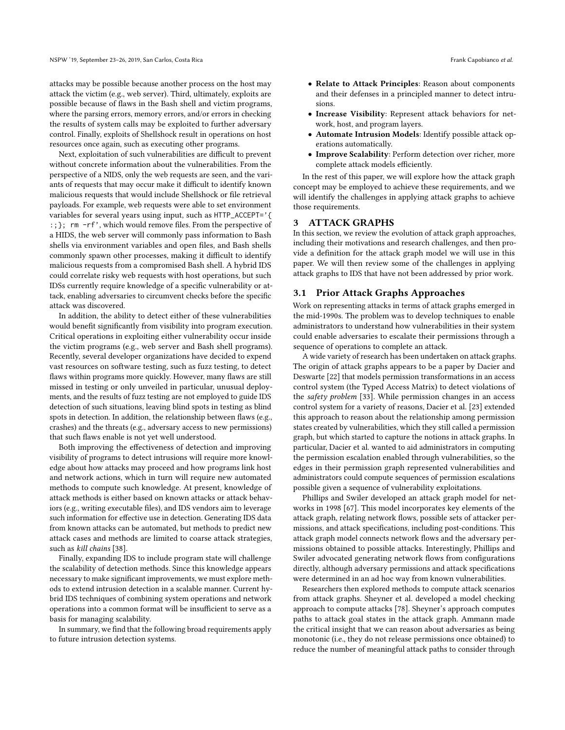attacks may be possible because another process on the host may attack the victim (e.g., web server). Third, ultimately, exploits are possible because of flaws in the Bash shell and victim programs, where the parsing errors, memory errors, and/or errors in checking the results of system calls may be exploited to further adversary control. Finally, exploits of Shellshock result in operations on host resources once again, such as executing other programs.

Next, exploitation of such vulnerabilities are difficult to prevent without concrete information about the vulnerabilities. From the perspective of a NIDS, only the web requests are seen, and the variants of requests that may occur make it difficult to identify known malicious requests that would include Shellshock or file retrieval payloads. For example, web requests were able to set environment variables for several years using input, such as HTTP\_ACCEPT='{ :;}; rm -rf', which would remove files. From the perspective of a HIDS, the web server will commonly pass information to Bash shells via environment variables and open files, and Bash shells commonly spawn other processes, making it difficult to identify malicious requests from a compromised Bash shell. A hybrid IDS could correlate risky web requests with host operations, but such IDSs currently require knowledge of a specific vulnerability or attack, enabling adversaries to circumvent checks before the specific attack was discovered.

In addition, the ability to detect either of these vulnerabilities would benefit significantly from visibility into program execution. Critical operations in exploiting either vulnerability occur inside the victim programs (e.g., web server and Bash shell programs). Recently, several developer organizations have decided to expend vast resources on software testing, such as fuzz testing, to detect flaws within programs more quickly. However, many flaws are still missed in testing or only unveiled in particular, unusual deployments, and the results of fuzz testing are not employed to guide IDS detection of such situations, leaving blind spots in testing as blind spots in detection. In addition, the relationship between flaws (e.g., crashes) and the threats (e.g., adversary access to new permissions) that such flaws enable is not yet well understood.

Both improving the effectiveness of detection and improving visibility of programs to detect intrusions will require more knowledge about how attacks may proceed and how programs link host and network actions, which in turn will require new automated methods to compute such knowledge. At present, knowledge of attack methods is either based on known attacks or attack behaviors (e.g., writing executable files), and IDS vendors aim to leverage such information for effective use in detection. Generating IDS data from known attacks can be automated, but methods to predict new attack cases and methods are limited to coarse attack strategies, such as kill chains [38].

Finally, expanding IDS to include program state will challenge the scalability of detection methods. Since this knowledge appears necessary to make significant improvements, we must explore methods to extend intrusion detection in a scalable manner. Current hybrid IDS techniques of combining system operations and network operations into a common format will be insufficient to serve as a basis for managing scalability.

In summary, we find that the following broad requirements apply to future intrusion detection systems.

- Relate to Attack Principles: Reason about components and their defenses in a principled manner to detect intrusions.
- Increase Visibility: Represent attack behaviors for network, host, and program layers.
- Automate Intrusion Models: Identify possible attack operations automatically.
- Improve Scalability: Perform detection over richer, more complete attack models efficiently.

In the rest of this paper, we will explore how the attack graph concept may be employed to achieve these requirements, and we will identify the challenges in applying attack graphs to achieve those requirements.

## 3 ATTACK GRAPHS

In this section, we review the evolution of attack graph approaches, including their motivations and research challenges, and then provide a definition for the attack graph model we will use in this paper. We will then review some of the challenges in applying attack graphs to IDS that have not been addressed by prior work.

#### 3.1 Prior Attack Graphs Approaches

Work on representing attacks in terms of attack graphs emerged in the mid-1990s. The problem was to develop techniques to enable administrators to understand how vulnerabilities in their system could enable adversaries to escalate their permissions through a sequence of operations to complete an attack.

A wide variety of research has been undertaken on attack graphs. The origin of attack graphs appears to be a paper by Dacier and Deswarte [22] that models permission transformations in an access control system (the Typed Access Matrix) to detect violations of the safety problem [33]. While permission changes in an access control system for a variety of reasons, Dacier et al. [23] extended this approach to reason about the relationship among permission states created by vulnerabilities, which they still called a permission graph, but which started to capture the notions in attack graphs. In particular, Dacier et al. wanted to aid administrators in computing the permission escalation enabled through vulnerabilities, so the edges in their permission graph represented vulnerabilities and administrators could compute sequences of permission escalations possible given a sequence of vulnerability exploitations.

Phillips and Swiler developed an attack graph model for networks in 1998 [67]. This model incorporates key elements of the attack graph, relating network flows, possible sets of attacker permissions, and attack specifications, including post-conditions. This attack graph model connects network flows and the adversary permissions obtained to possible attacks. Interestingly, Phillips and Swiler advocated generating network flows from configurations directly, although adversary permissions and attack specifications were determined in an ad hoc way from known vulnerabilities.

Researchers then explored methods to compute attack scenarios from attack graphs. Sheyner et al. developed a model checking approach to compute attacks [78]. Sheyner's approach computes paths to attack goal states in the attack graph. Ammann made the critical insight that we can reason about adversaries as being monotonic (i.e., they do not release permissions once obtained) to reduce the number of meaningful attack paths to consider through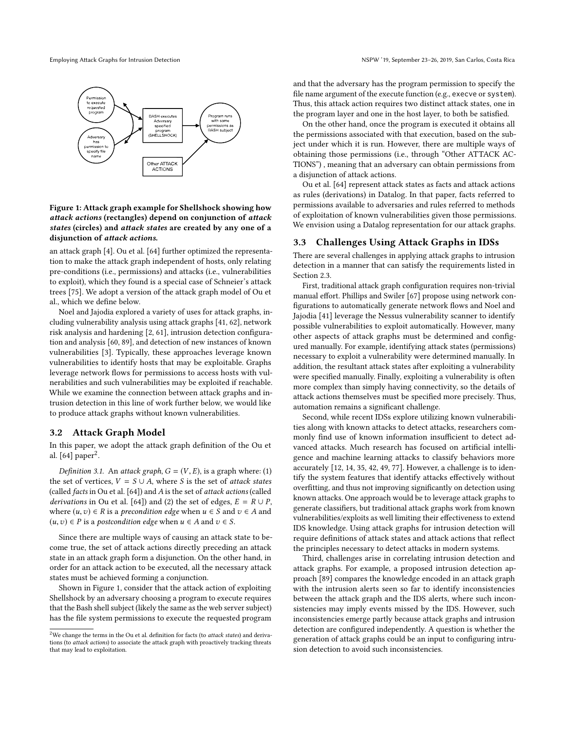

### Figure 1: Attack graph example for Shellshock showing how attack actions (rectangles) depend on conjunction of attack states (circles) and attack states are created by any one of a disjunction of attack actions.

an attack graph [4]. Ou et al. [64] further optimized the representation to make the attack graph independent of hosts, only relating pre-conditions (i.e., permissions) and attacks (i.e., vulnerabilities to exploit), which they found is a special case of Schneier's attack trees [75]. We adopt a version of the attack graph model of Ou et al., which we define below.

Noel and Jajodia explored a variety of uses for attack graphs, including vulnerability analysis using attack graphs [41, 62], network risk analysis and hardening [2, 61], intrusion detection configuration and analysis [60, 89], and detection of new instances of known vulnerabilities [3]. Typically, these approaches leverage known vulnerabilities to identify hosts that may be exploitable. Graphs leverage network flows for permissions to access hosts with vulnerabilities and such vulnerabilities may be exploited if reachable. While we examine the connection between attack graphs and intrusion detection in this line of work further below, we would like to produce attack graphs without known vulnerabilities.

## 3.2 Attack Graph Model

In this paper, we adopt the attack graph definition of the Ou et al.  $[64]$  paper<sup>2</sup>.

Definition 3.1. An attack graph,  $G = (V, E)$ , is a graph where: (1) the set of vertices,  $V = S \cup A$ , where S is the set of attack states (called facts in Ou et al. [64]) and A is the set of attack actions (called *derivations* in Ou et al. [64]) and (2) the set of edges,  $E = R \cup P$ , where  $(u, v) \in R$  is a *precondition edge* when  $u \in S$  and  $v \in A$  and  $(u, v)$  ∈ *P* is a *postcondition edge* when  $u$  ∈ *A* and  $v$  ∈ *S*.

Since there are multiple ways of causing an attack state to become true, the set of attack actions directly preceding an attack state in an attack graph form a disjunction. On the other hand, in order for an attack action to be executed, all the necessary attack states must be achieved forming a conjunction.

Shown in Figure 1, consider that the attack action of exploiting Shellshock by an adversary choosing a program to execute requires that the Bash shell subject (likely the same as the web server subject) has the file system permissions to execute the requested program and that the adversary has the program permission to specify the file name argument of the execute function (e.g., execve or system). Thus, this attack action requires two distinct attack states, one in the program layer and one in the host layer, to both be satisfied.

On the other hand, once the program is executed it obtains all the permissions associated with that execution, based on the subject under which it is run. However, there are multiple ways of obtaining those permissions (i.e., through "Other ATTACK AC-TIONSž) , meaning that an adversary can obtain permissions from a disjunction of attack actions.

Ou et al. [64] represent attack states as facts and attack actions as rules (derivations) in Datalog. In that paper, facts referred to permissions available to adversaries and rules referred to methods of exploitation of known vulnerabilities given those permissions. We envision using a Datalog representation for our attack graphs.

#### 3.3 Challenges Using Attack Graphs in IDSs

There are several challenges in applying attack graphs to intrusion detection in a manner that can satisfy the requirements listed in Section 2.3.

First, traditional attack graph configuration requires non-trivial manual effort. Phillips and Swiler [67] propose using network configurations to automatically generate network flows and Noel and Jajodia [41] leverage the Nessus vulnerability scanner to identify possible vulnerabilities to exploit automatically. However, many other aspects of attack graphs must be determined and configured manually. For example, identifying attack states (permissions) necessary to exploit a vulnerability were determined manually. In addition, the resultant attack states after exploiting a vulnerability were specified manually. Finally, exploiting a vulnerability is often more complex than simply having connectivity, so the details of attack actions themselves must be specified more precisely. Thus, automation remains a significant challenge.

Second, while recent IDSs explore utilizing known vulnerabilities along with known attacks to detect attacks, researchers commonly find use of known information insufficient to detect advanced attacks. Much research has focused on artificial intelligence and machine learning attacks to classify behaviors more accurately [12, 14, 35, 42, 49, 77]. However, a challenge is to identify the system features that identify attacks effectively without overfitting, and thus not improving significantly on detection using known attacks. One approach would be to leverage attack graphs to generate classifiers, but traditional attack graphs work from known vulnerabilities/exploits as well limiting their effectiveness to extend IDS knowledge. Using attack graphs for intrusion detection will require definitions of attack states and attack actions that reflect the principles necessary to detect attacks in modern systems.

Third, challenges arise in correlating intrusion detection and attack graphs. For example, a proposed intrusion detection approach [89] compares the knowledge encoded in an attack graph with the intrusion alerts seen so far to identify inconsistencies between the attack graph and the IDS alerts, where such inconsistencies may imply events missed by the IDS. However, such inconsistencies emerge partly because attack graphs and intrusion detection are configured independently. A question is whether the generation of attack graphs could be an input to configuring intrusion detection to avoid such inconsistencies.

<sup>&</sup>lt;sup>2</sup>We change the terms in the Ou et al. definition for facts (to *attack states*) and derivations (to attack actions) to associate the attack graph with proactively tracking threats that may lead to exploitation.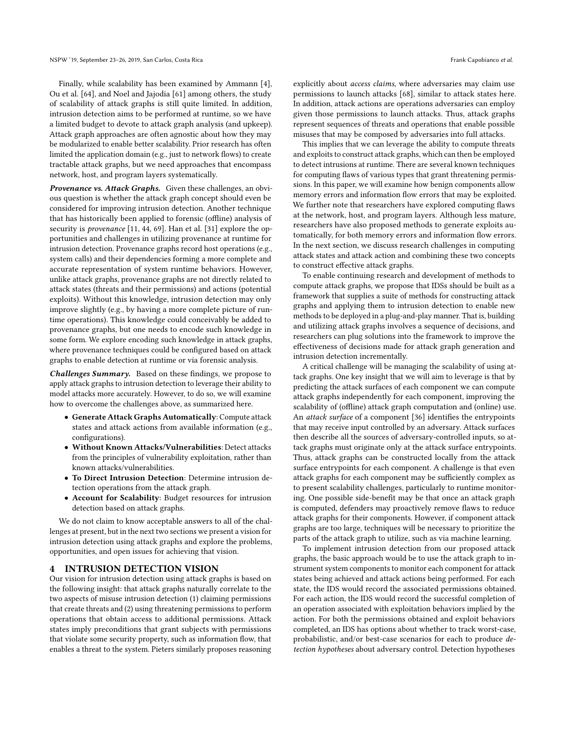Finally, while scalability has been examined by Ammann [4], Ou et al. [64], and Noel and Jajodia [61] among others, the study of scalability of attack graphs is still quite limited. In addition, intrusion detection aims to be performed at runtime, so we have a limited budget to devote to attack graph analysis (and upkeep). Attack graph approaches are often agnostic about how they may be modularized to enable better scalability. Prior research has often limited the application domain (e.g., just to network flows) to create tractable attack graphs, but we need approaches that encompass network, host, and program layers systematically.

Provenance vs. Attack Graphs. Given these challenges, an obvious question is whether the attack graph concept should even be considered for improving intrusion detection. Another technique that has historically been applied to forensic (offline) analysis of security is *provenance* [11, 44, 69]. Han et al. [31] explore the opportunities and challenges in utilizing provenance at runtime for intrusion detection. Provenance graphs record host operations (e.g., system calls) and their dependencies forming a more complete and accurate representation of system runtime behaviors. However, unlike attack graphs, provenance graphs are not directly related to attack states (threats and their permissions) and actions (potential exploits). Without this knowledge, intrusion detection may only improve slightly (e.g., by having a more complete picture of runtime operations). This knowledge could conceivably be added to provenance graphs, but one needs to encode such knowledge in some form. We explore encoding such knowledge in attack graphs, where provenance techniques could be configured based on attack graphs to enable detection at runtime or via forensic analysis.

Challenges Summary. Based on these findings, we propose to apply attack graphs to intrusion detection to leverage their ability to model attacks more accurately. However, to do so, we will examine how to overcome the challenges above, as summarized here.

- Generate Attack Graphs Automatically: Compute attack states and attack actions from available information (e.g., configurations).
- Without Known Attacks/Vulnerabilities: Detect attacks from the principles of vulnerability exploitation, rather than known attacks/vulnerabilities.
- To Direct Intrusion Detection: Determine intrusion detection operations from the attack graph.
- Account for Scalability: Budget resources for intrusion detection based on attack graphs.

We do not claim to know acceptable answers to all of the challenges at present, but in the next two sections we present a vision for intrusion detection using attack graphs and explore the problems, opportunities, and open issues for achieving that vision.

## 4 INTRUSION DETECTION VISION

Our vision for intrusion detection using attack graphs is based on the following insight: that attack graphs naturally correlate to the two aspects of misuse intrusion detection (1) claiming permissions that create threats and (2) using threatening permissions to perform operations that obtain access to additional permissions. Attack states imply preconditions that grant subjects with permissions that violate some security property, such as information flow, that enables a threat to the system. Pieters similarly proposes reasoning

explicitly about access claims, where adversaries may claim use permissions to launch attacks [68], similar to attack states here. In addition, attack actions are operations adversaries can employ given those permissions to launch attacks. Thus, attack graphs represent sequences of threats and operations that enable possible misuses that may be composed by adversaries into full attacks.

This implies that we can leverage the ability to compute threats and exploits to construct attack graphs, which can then be employed to detect intrusions at runtime. There are several known techniques for computing flaws of various types that grant threatening permissions. In this paper, we will examine how benign components allow memory errors and information flow errors that may be exploited. We further note that researchers have explored computing flaws at the network, host, and program layers. Although less mature, researchers have also proposed methods to generate exploits automatically, for both memory errors and information flow errors. In the next section, we discuss research challenges in computing attack states and attack action and combining these two concepts to construct effective attack graphs.

To enable continuing research and development of methods to compute attack graphs, we propose that IDSs should be built as a framework that supplies a suite of methods for constructing attack graphs and applying them to intrusion detection to enable new methods to be deployed in a plug-and-play manner. That is, building and utilizing attack graphs involves a sequence of decisions, and researchers can plug solutions into the framework to improve the effectiveness of decisions made for attack graph generation and intrusion detection incrementally.

A critical challenge will be managing the scalability of using attack graphs. One key insight that we will aim to leverage is that by predicting the attack surfaces of each component we can compute attack graphs independently for each component, improving the scalability of (offline) attack graph computation and (online) use. An attack surface of a component [36] identifies the entrypoints that may receive input controlled by an adversary. Attack surfaces then describe all the sources of adversary-controlled inputs, so attack graphs must originate only at the attack surface entrypoints. Thus, attack graphs can be constructed locally from the attack surface entrypoints for each component. A challenge is that even attack graphs for each component may be sufficiently complex as to present scalability challenges, particularly to runtime monitoring. One possible side-benefit may be that once an attack graph is computed, defenders may proactively remove flaws to reduce attack graphs for their components. However, if component attack graphs are too large, techniques will be necessary to prioritize the parts of the attack graph to utilize, such as via machine learning.

To implement intrusion detection from our proposed attack graphs, the basic approach would be to use the attack graph to instrument system components to monitor each component for attack states being achieved and attack actions being performed. For each state, the IDS would record the associated permissions obtained. For each action, the IDS would record the successful completion of an operation associated with exploitation behaviors implied by the action. For both the permissions obtained and exploit behaviors completed, an IDS has options about whether to track worst-case, probabilistic, and/or best-case scenarios for each to produce detection hypotheses about adversary control. Detection hypotheses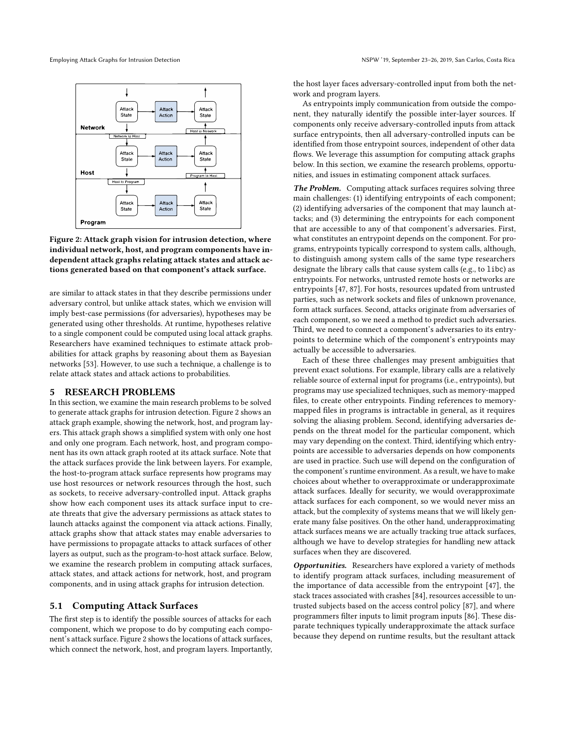



are similar to attack states in that they describe permissions under adversary control, but unlike attack states, which we envision will imply best-case permissions (for adversaries), hypotheses may be generated using other thresholds. At runtime, hypotheses relative to a single component could be computed using local attack graphs. Researchers have examined techniques to estimate attack probabilities for attack graphs by reasoning about them as Bayesian networks [53]. However, to use such a technique, a challenge is to relate attack states and attack actions to probabilities.

#### 5 RESEARCH PROBLEMS

In this section, we examine the main research problems to be solved to generate attack graphs for intrusion detection. Figure 2 shows an attack graph example, showing the network, host, and program layers. This attack graph shows a simplified system with only one host and only one program. Each network, host, and program component has its own attack graph rooted at its attack surface. Note that the attack surfaces provide the link between layers. For example, the host-to-program attack surface represents how programs may use host resources or network resources through the host, such as sockets, to receive adversary-controlled input. Attack graphs show how each component uses its attack surface input to create threats that give the adversary permissions as attack states to launch attacks against the component via attack actions. Finally, attack graphs show that attack states may enable adversaries to have permissions to propagate attacks to attack surfaces of other layers as output, such as the program-to-host attack surface. Below, we examine the research problem in computing attack surfaces, attack states, and attack actions for network, host, and program components, and in using attack graphs for intrusion detection.

#### 5.1 Computing Attack Surfaces

The first step is to identify the possible sources of attacks for each component, which we propose to do by computing each component's attack surface. Figure 2 shows the locations of attack surfaces, which connect the network, host, and program layers. Importantly, the host layer faces adversary-controlled input from both the network and program layers.

As entrypoints imply communication from outside the component, they naturally identify the possible inter-layer sources. If components only receive adversary-controlled inputs from attack surface entrypoints, then all adversary-controlled inputs can be identified from those entrypoint sources, independent of other data flows. We leverage this assumption for computing attack graphs below. In this section, we examine the research problems, opportunities, and issues in estimating component attack surfaces.

The Problem. Computing attack surfaces requires solving three main challenges: (1) identifying entrypoints of each component; (2) identifying adversaries of the component that may launch attacks; and (3) determining the entrypoints for each component that are accessible to any of that component's adversaries. First, what constitutes an entrypoint depends on the component. For programs, entrypoints typically correspond to system calls, although, to distinguish among system calls of the same type researchers designate the library calls that cause system calls (e.g., to libc) as entrypoints. For networks, untrusted remote hosts or networks are entrypoints [47, 87]. For hosts, resources updated from untrusted parties, such as network sockets and files of unknown provenance, form attack surfaces. Second, attacks originate from adversaries of each component, so we need a method to predict such adversaries. Third, we need to connect a component's adversaries to its entrypoints to determine which of the component's entrypoints may actually be accessible to adversaries.

Each of these three challenges may present ambiguities that prevent exact solutions. For example, library calls are a relatively reliable source of external input for programs (i.e., entrypoints), but programs may use specialized techniques, such as memory-mapped files, to create other entrypoints. Finding references to memorymapped files in programs is intractable in general, as it requires solving the aliasing problem. Second, identifying adversaries depends on the threat model for the particular component, which may vary depending on the context. Third, identifying which entrypoints are accessible to adversaries depends on how components are used in practice. Such use will depend on the configuration of the component's runtime environment. As a result, we have to make choices about whether to overapproximate or underapproximate attack surfaces. Ideally for security, we would overapproximate attack surfaces for each component, so we would never miss an attack, but the complexity of systems means that we will likely generate many false positives. On the other hand, underapproximating attack surfaces means we are actually tracking true attack surfaces, although we have to develop strategies for handling new attack surfaces when they are discovered.

Opportunities. Researchers have explored a variety of methods to identify program attack surfaces, including measurement of the importance of data accessible from the entrypoint [47], the stack traces associated with crashes [84], resources accessible to untrusted subjects based on the access control policy [87], and where programmers filter inputs to limit program inputs [86]. These disparate techniques typically underapproximate the attack surface because they depend on runtime results, but the resultant attack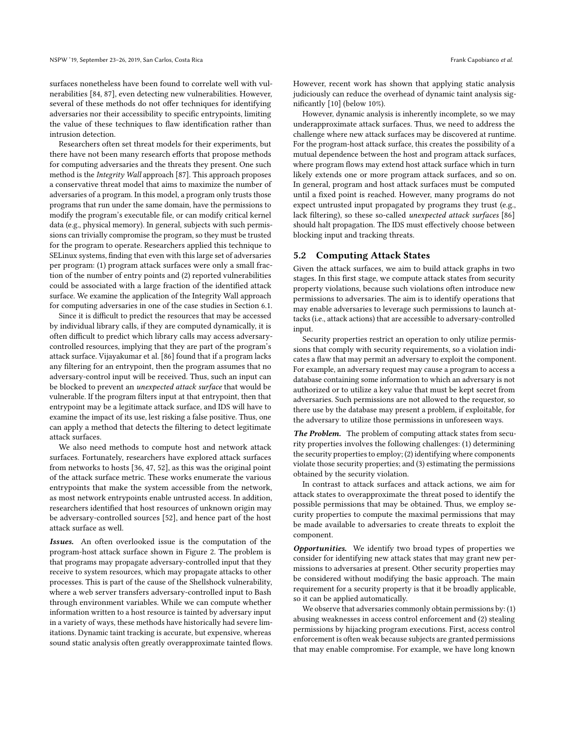surfaces nonetheless have been found to correlate well with vulnerabilities [84, 87], even detecting new vulnerabilities. However, several of these methods do not offer techniques for identifying adversaries nor their accessibility to specific entrypoints, limiting the value of these techniques to flaw identification rather than intrusion detection.

Researchers often set threat models for their experiments, but there have not been many research efforts that propose methods for computing adversaries and the threats they present. One such method is the Integrity Wall approach [87]. This approach proposes a conservative threat model that aims to maximize the number of adversaries of a program. In this model, a program only trusts those programs that run under the same domain, have the permissions to modify the program's executable file, or can modify critical kernel data (e.g., physical memory). In general, subjects with such permissions can trivially compromise the program, so they must be trusted for the program to operate. Researchers applied this technique to SELinux systems, finding that even with this large set of adversaries per program: (1) program attack surfaces were only a small fraction of the number of entry points and (2) reported vulnerabilities could be associated with a large fraction of the identified attack surface. We examine the application of the Integrity Wall approach for computing adversaries in one of the case studies in Section 6.1.

Since it is difficult to predict the resources that may be accessed by individual library calls, if they are computed dynamically, it is often difficult to predict which library calls may access adversarycontrolled resources, implying that they are part of the program's attack surface. Vijayakumar et al. [86] found that if a program lacks any filtering for an entrypoint, then the program assumes that no adversary-control input will be received. Thus, such an input can be blocked to prevent an unexpected attack surface that would be vulnerable. If the program filters input at that entrypoint, then that entrypoint may be a legitimate attack surface, and IDS will have to examine the impact of its use, lest risking a false positive. Thus, one can apply a method that detects the filtering to detect legitimate attack surfaces.

We also need methods to compute host and network attack surfaces. Fortunately, researchers have explored attack surfaces from networks to hosts [36, 47, 52], as this was the original point of the attack surface metric. These works enumerate the various entrypoints that make the system accessible from the network, as most network entrypoints enable untrusted access. In addition, researchers identified that host resources of unknown origin may be adversary-controlled sources [52], and hence part of the host attack surface as well.

Issues. An often overlooked issue is the computation of the program-host attack surface shown in Figure 2. The problem is that programs may propagate adversary-controlled input that they receive to system resources, which may propagate attacks to other processes. This is part of the cause of the Shellshock vulnerability, where a web server transfers adversary-controlled input to Bash through environment variables. While we can compute whether information written to a host resource is tainted by adversary input in a variety of ways, these methods have historically had severe limitations. Dynamic taint tracking is accurate, but expensive, whereas sound static analysis often greatly overapproximate tainted flows.

However, recent work has shown that applying static analysis judiciously can reduce the overhead of dynamic taint analysis significantly [10] (below 10%).

However, dynamic analysis is inherently incomplete, so we may underapproximate attack surfaces. Thus, we need to address the challenge where new attack surfaces may be discovered at runtime. For the program-host attack surface, this creates the possibility of a mutual dependence between the host and program attack surfaces, where program flows may extend host attack surface which in turn likely extends one or more program attack surfaces, and so on. In general, program and host attack surfaces must be computed until a fixed point is reached. However, many programs do not expect untrusted input propagated by programs they trust (e.g., lack filtering), so these so-called unexpected attack surfaces [86] should halt propagation. The IDS must effectively choose between blocking input and tracking threats.

### 5.2 Computing Attack States

Given the attack surfaces, we aim to build attack graphs in two stages. In this first stage, we compute attack states from security property violations, because such violations often introduce new permissions to adversaries. The aim is to identify operations that may enable adversaries to leverage such permissions to launch attacks (i.e., attack actions) that are accessible to adversary-controlled input.

Security properties restrict an operation to only utilize permissions that comply with security requirements, so a violation indicates a flaw that may permit an adversary to exploit the component. For example, an adversary request may cause a program to access a database containing some information to which an adversary is not authorized or to utilize a key value that must be kept secret from adversaries. Such permissions are not allowed to the requestor, so there use by the database may present a problem, if exploitable, for the adversary to utilize those permissions in unforeseen ways.

The Problem. The problem of computing attack states from security properties involves the following challenges: (1) determining the security properties to employ; (2) identifying where components violate those security properties; and (3) estimating the permissions obtained by the security violation.

In contrast to attack surfaces and attack actions, we aim for attack states to overapproximate the threat posed to identify the possible permissions that may be obtained. Thus, we employ security properties to compute the maximal permissions that may be made available to adversaries to create threats to exploit the component.

Opportunities. We identify two broad types of properties we consider for identifying new attack states that may grant new permissions to adversaries at present. Other security properties may be considered without modifying the basic approach. The main requirement for a security property is that it be broadly applicable, so it can be applied automatically.

We observe that adversaries commonly obtain permissions by: (1) abusing weaknesses in access control enforcement and (2) stealing permissions by hijacking program executions. First, access control enforcement is often weak because subjects are granted permissions that may enable compromise. For example, we have long known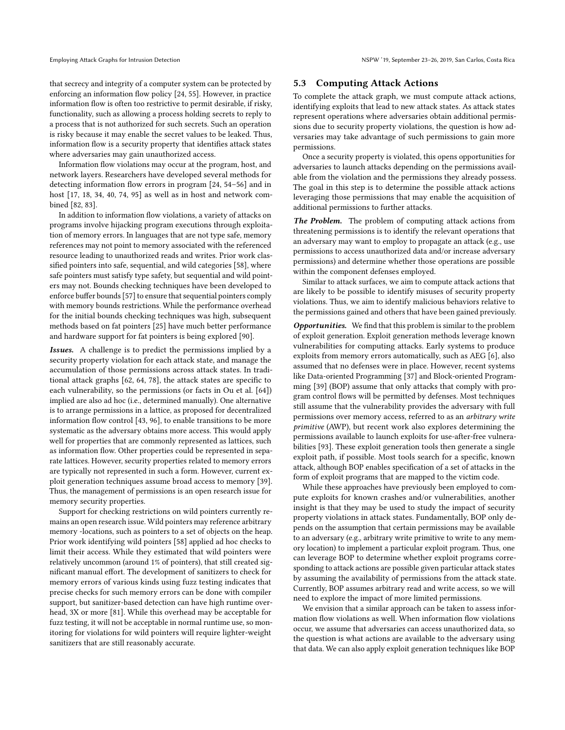that secrecy and integrity of a computer system can be protected by enforcing an information flow policy [24, 55]. However, in practice information flow is often too restrictive to permit desirable, if risky, functionality, such as allowing a process holding secrets to reply to a process that is not authorized for such secrets. Such an operation is risky because it may enable the secret values to be leaked. Thus, information flow is a security property that identifies attack states where adversaries may gain unauthorized access.

Information flow violations may occur at the program, host, and network layers. Researchers have developed several methods for detecting information flow errors in program [24, 54–56] and in host [17, 18, 34, 40, 74, 95] as well as in host and network combined [82, 83].

In addition to information flow violations, a variety of attacks on programs involve hijacking program executions through exploitation of memory errors. In languages that are not type safe, memory references may not point to memory associated with the referenced resource leading to unauthorized reads and writes. Prior work classified pointers into safe, sequential, and wild categories [58], where safe pointers must satisfy type safety, but sequential and wild pointers may not. Bounds checking techniques have been developed to enforce buffer bounds [57] to ensure that sequential pointers comply with memory bounds restrictions. While the performance overhead for the initial bounds checking techniques was high, subsequent methods based on fat pointers [25] have much better performance and hardware support for fat pointers is being explored [90].

Issues. A challenge is to predict the permissions implied by a security property violation for each attack state, and manage the accumulation of those permissions across attack states. In traditional attack graphs [62, 64, 78], the attack states are specific to each vulnerability, so the permissions (or facts in Ou et al. [64]) implied are also ad hoc (i.e., determined manually). One alternative is to arrange permissions in a lattice, as proposed for decentralized information flow control [43, 96], to enable transitions to be more systematic as the adversary obtains more access. This would apply well for properties that are commonly represented as lattices, such as information flow. Other properties could be represented in separate lattices. However, security properties related to memory errors are typically not represented in such a form. However, current exploit generation techniques assume broad access to memory [39]. Thus, the management of permissions is an open research issue for memory security properties.

Support for checking restrictions on wild pointers currently remains an open research issue. Wild pointers may reference arbitrary memory -locations, such as pointers to a set of objects on the heap. Prior work identifying wild pointers [58] applied ad hoc checks to limit their access. While they estimated that wild pointers were relatively uncommon (around 1% of pointers), that still created significant manual effort. The development of sanitizers to check for memory errors of various kinds using fuzz testing indicates that precise checks for such memory errors can be done with compiler support, but sanitizer-based detection can have high runtime overhead, 3X or more [81]. While this overhead may be acceptable for fuzz testing, it will not be acceptable in normal runtime use, so monitoring for violations for wild pointers will require lighter-weight sanitizers that are still reasonably accurate.

#### 5.3 Computing Attack Actions

To complete the attack graph, we must compute attack actions, identifying exploits that lead to new attack states. As attack states represent operations where adversaries obtain additional permissions due to security property violations, the question is how adversaries may take advantage of such permissions to gain more permissions.

Once a security property is violated, this opens opportunities for adversaries to launch attacks depending on the permissions available from the violation and the permissions they already possess. The goal in this step is to determine the possible attack actions leveraging those permissions that may enable the acquisition of additional permissions to further attacks.

The Problem. The problem of computing attack actions from threatening permissions is to identify the relevant operations that an adversary may want to employ to propagate an attack (e.g., use permissions to access unauthorized data and/or increase adversary permissions) and determine whether those operations are possible within the component defenses employed.

Similar to attack surfaces, we aim to compute attack actions that are likely to be possible to identify misuses of security property violations. Thus, we aim to identify malicious behaviors relative to the permissions gained and others that have been gained previously.

Opportunities. We find that this problem is similar to the problem of exploit generation. Exploit generation methods leverage known vulnerabilities for computing attacks. Early systems to produce exploits from memory errors automatically, such as AEG [6], also assumed that no defenses were in place. However, recent systems like Data-oriented Programming [37] and Block-oriented Programming [39] (BOP) assume that only attacks that comply with program control flows will be permitted by defenses. Most techniques still assume that the vulnerability provides the adversary with full permissions over memory access, referred to as an arbitrary write primitive (AWP), but recent work also explores determining the permissions available to launch exploits for use-after-free vulnerabilities [93]. These exploit generation tools then generate a single exploit path, if possible. Most tools search for a specific, known attack, although BOP enables specification of a set of attacks in the form of exploit programs that are mapped to the victim code.

While these approaches have previously been employed to compute exploits for known crashes and/or vulnerabilities, another insight is that they may be used to study the impact of security property violations in attack states. Fundamentally, BOP only depends on the assumption that certain permissions may be available to an adversary (e.g., arbitrary write primitive to write to any memory location) to implement a particular exploit program. Thus, one can leverage BOP to determine whether exploit programs corresponding to attack actions are possible given particular attack states by assuming the availability of permissions from the attack state. Currently, BOP assumes arbitrary read and write access, so we will need to explore the impact of more limited permissions.

We envision that a similar approach can be taken to assess information flow violations as well. When information flow violations occur, we assume that adversaries can access unauthorized data, so the question is what actions are available to the adversary using that data. We can also apply exploit generation techniques like BOP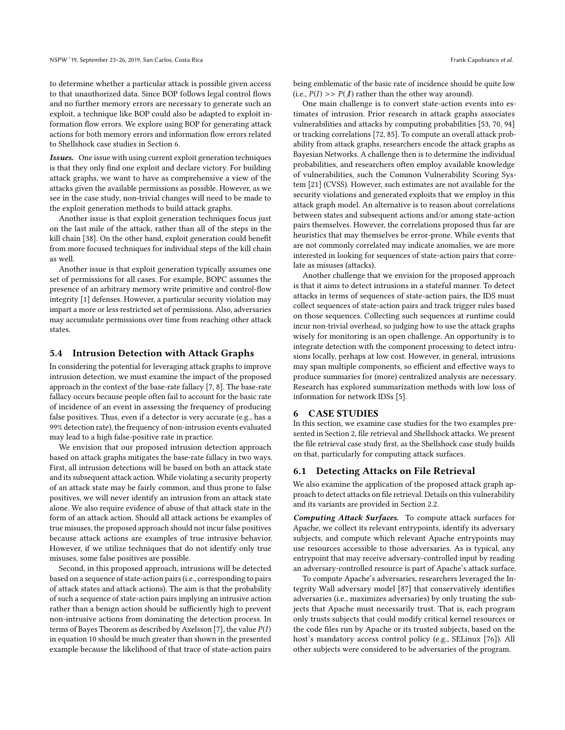to determine whether a particular attack is possible given access to that unauthorized data. Since BOP follows legal control flows and no further memory errors are necessary to generate such an exploit, a technique like BOP could also be adapted to exploit information flow errors. We explore using BOP for generating attack actions for both memory errors and information flow errors related to Shellshock case studies in Section 6.

Issues. One issue with using current exploit generation techniques is that they only find one exploit and declare victory. For building attack graphs, we want to have as comprehensive a view of the attacks given the available permissions as possible. However, as we see in the case study, non-trivial changes will need to be made to the exploit generation methods to build attack graphs.

Another issue is that exploit generation techniques focus just on the last mile of the attack, rather than all of the steps in the kill chain [38]. On the other hand, exploit generation could benefit from more focused techniques for individual steps of the kill chain as well.

Another issue is that exploit generation typically assumes one set of permissions for all cases. For example, BOPC assumes the presence of an arbitrary memory write primitive and control-flow integrity [1] defenses. However, a particular security violation may impart a more or less restricted set of permissions. Also, adversaries may accumulate permissions over time from reaching other attack states.

#### 5.4 Intrusion Detection with Attack Graphs

In considering the potential for leveraging attack graphs to improve intrusion detection, we must examine the impact of the proposed approach in the context of the base-rate fallacy [7, 8]. The base-rate fallacy occurs because people often fail to account for the basic rate of incidence of an event in assessing the frequency of producing false positives. Thus, even if a detector is very accurate (e.g., has a 99% detection rate), the frequency of non-intrusion events evaluated may lead to a high false-positive rate in practice.

We envision that our proposed intrusion detection approach based on attack graphs mitigates the base-rate fallacy in two ways. First, all intrusion detections will be based on both an attack state and its subsequent attack action. While violating a security property of an attack state may be fairly common, and thus prone to false positives, we will never identify an intrusion from an attack state alone. We also require evidence of abuse of that attack state in the form of an attack action. Should all attack actions be examples of true misuses, the proposed approach should not incur false positives because attack actions are examples of true intrusive behavior. However, if we utilize techniques that do not identify only true misuses, some false positives are possible.

Second, in this proposed approach, intrusions will be detected based on a sequence of state-action pairs (i.e., corresponding to pairs of attack states and attack actions). The aim is that the probability of such a sequence of state-action pairs implying an intrusive action rather than a benign action should be sufficiently high to prevent non-intrusive actions from dominating the detection process. In terms of Bayes Theorem as described by Axelsson [7], the value  $P(I)$ in equation 10 should be much greater than shown in the presented example because the likelihood of that trace of state-action pairs being emblematic of the basic rate of incidence should be quite low (i.e.,  $P(I) >> P(\Lambda)$  rather than the other way around).

One main challenge is to convert state-action events into estimates of intrusion. Prior research in attack graphs associates vulnerabilities and attacks by computing probabilities [53, 70, 94] or tracking correlations [72, 85]. To compute an overall attack probability from attack graphs, researchers encode the attack graphs as Bayesian Networks. A challenge then is to determine the individual probabilities, and researchers often employ available knowledge of vulnerabilities, such the Common Vulnerability Scoring System [21] (CVSS). However, such estimates are not available for the security violations and generated exploits that we employ in this attack graph model. An alternative is to reason about correlations between states and subsequent actions and/or among state-action pairs themselves. However, the correlations proposed thus far are heuristics that may themselves be error-prone. While events that are not commonly correlated may indicate anomalies, we are more interested in looking for sequences of state-action pairs that correlate as misuses (attacks).

Another challenge that we envision for the proposed approach is that it aims to detect intrusions in a stateful manner. To detect attacks in terms of sequences of state-action pairs, the IDS must collect sequences of state-action pairs and track trigger rules based on those sequences. Collecting such sequences at runtime could incur non-trivial overhead, so judging how to use the attack graphs wisely for monitoring is an open challenge. An opportunity is to integrate detection with the component processing to detect intrusions locally, perhaps at low cost. However, in general, intrusions may span multiple components, so efficient and effective ways to produce summaries for (more) centralized analysis are necessary. Research has explored summarization methods with low loss of information for network IDSs [5].

#### 6 CASE STUDIES

In this section, we examine case studies for the two examples presented in Section 2, file retrieval and Shellshock attacks. We present the file retrieval case study first, as the Shellshock case study builds on that, particularly for computing attack surfaces.

### 6.1 Detecting Attacks on File Retrieval

We also examine the application of the proposed attack graph approach to detect attacks on file retrieval. Details on this vulnerability and its variants are provided in Section 2.2.

Computing Attack Surfaces. To compute attack surfaces for Apache, we collect its relevant entrypoints, identify its adversary subjects, and compute which relevant Apache entrypoints may use resources accessible to those adversaries. As is typical, any entrypoint that may receive adversary-controlled input by reading an adversary-controlled resource is part of Apache's attack surface.

To compute Apache's adversaries, researchers leveraged the Integrity Wall adversary model [87] that conservatively identifies adversaries (i.e., maximizes adversaries) by only trusting the subjects that Apache must necessarily trust. That is, each program only trusts subjects that could modify critical kernel resources or the code files run by Apache or its trusted subjects, based on the host's mandatory access control policy (e.g., SELinux [76]). All other subjects were considered to be adversaries of the program.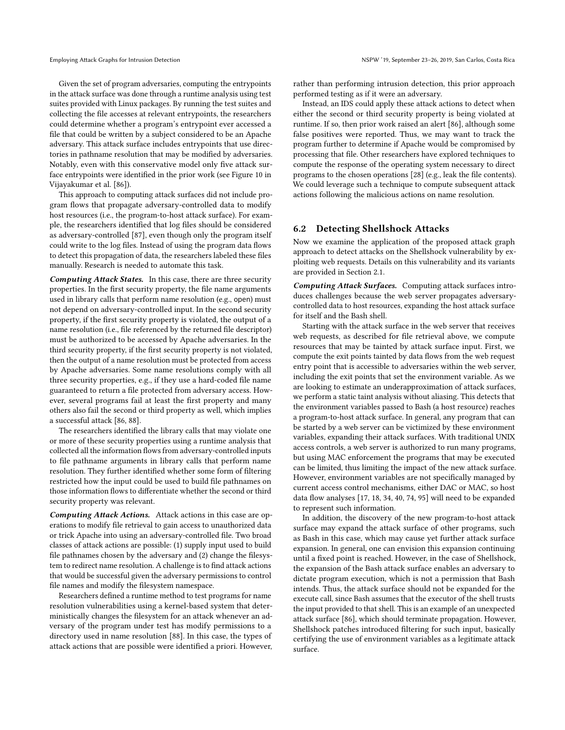Given the set of program adversaries, computing the entrypoints in the attack surface was done through a runtime analysis using test suites provided with Linux packages. By running the test suites and collecting the file accesses at relevant entrypoints, the researchers could determine whether a program's entrypoint ever accessed a file that could be written by a subject considered to be an Apache adversary. This attack surface includes entrypoints that use directories in pathname resolution that may be modified by adversaries. Notably, even with this conservative model only five attack surface entrypoints were identified in the prior work (see Figure 10 in Vijayakumar et al. [86]).

This approach to computing attack surfaces did not include program flows that propagate adversary-controlled data to modify host resources (i.e., the program-to-host attack surface). For example, the researchers identified that log files should be considered as adversary-controlled [87], even though only the program itself could write to the log files. Instead of using the program data flows to detect this propagation of data, the researchers labeled these files manually. Research is needed to automate this task.

Computing Attack States. In this case, there are three security properties. In the first security property, the file name arguments used in library calls that perform name resolution (e.g., open) must not depend on adversary-controlled input. In the second security property, if the first security property is violated, the output of a name resolution (i.e., file referenced by the returned file descriptor) must be authorized to be accessed by Apache adversaries. In the third security property, if the first security property is not violated, then the output of a name resolution must be protected from access by Apache adversaries. Some name resolutions comply with all three security properties, e.g., if they use a hard-coded file name guaranteed to return a file protected from adversary access. However, several programs fail at least the first property and many others also fail the second or third property as well, which implies a successful attack [86, 88].

The researchers identified the library calls that may violate one or more of these security properties using a runtime analysis that collected all the information flows from adversary-controlled inputs to file pathname arguments in library calls that perform name resolution. They further identified whether some form of filtering restricted how the input could be used to build file pathnames on those information flows to differentiate whether the second or third security property was relevant.

Computing Attack Actions. Attack actions in this case are operations to modify file retrieval to gain access to unauthorized data or trick Apache into using an adversary-controlled file. Two broad classes of attack actions are possible: (1) supply input used to build file pathnames chosen by the adversary and (2) change the filesystem to redirect name resolution. A challenge is to find attack actions that would be successful given the adversary permissions to control file names and modify the filesystem namespace.

Researchers defined a runtime method to test programs for name resolution vulnerabilities using a kernel-based system that deterministically changes the filesystem for an attack whenever an adversary of the program under test has modify permissions to a directory used in name resolution [88]. In this case, the types of attack actions that are possible were identified a priori. However, rather than performing intrusion detection, this prior approach performed testing as if it were an adversary.

Instead, an IDS could apply these attack actions to detect when either the second or third security property is being violated at runtime. If so, then prior work raised an alert [86], although some false positives were reported. Thus, we may want to track the program further to determine if Apache would be compromised by processing that file. Other researchers have explored techniques to compute the response of the operating system necessary to direct programs to the chosen operations [28] (e.g., leak the file contents). We could leverage such a technique to compute subsequent attack actions following the malicious actions on name resolution.

## 6.2 Detecting Shellshock Attacks

Now we examine the application of the proposed attack graph approach to detect attacks on the Shellshock vulnerability by exploiting web requests. Details on this vulnerability and its variants are provided in Section 2.1.

Computing Attack Surfaces. Computing attack surfaces introduces challenges because the web server propagates adversarycontrolled data to host resources, expanding the host attack surface for itself and the Bash shell.

Starting with the attack surface in the web server that receives web requests, as described for file retrieval above, we compute resources that may be tainted by attack surface input. First, we compute the exit points tainted by data flows from the web request entry point that is accessible to adversaries within the web server, including the exit points that set the environment variable. As we are looking to estimate an underapproximation of attack surfaces, we perform a static taint analysis without aliasing. This detects that the environment variables passed to Bash (a host resource) reaches a program-to-host attack surface. In general, any program that can be started by a web server can be victimized by these environment variables, expanding their attack surfaces. With traditional UNIX access controls, a web server is authorized to run many programs, but using MAC enforcement the programs that may be executed can be limited, thus limiting the impact of the new attack surface. However, environment variables are not specifically managed by current access control mechanisms, either DAC or MAC, so host data flow analyses [17, 18, 34, 40, 74, 95] will need to be expanded to represent such information.

In addition, the discovery of the new program-to-host attack surface may expand the attack surface of other programs, such as Bash in this case, which may cause yet further attack surface expansion. In general, one can envision this expansion continuing until a fixed point is reached. However, in the case of Shellshock, the expansion of the Bash attack surface enables an adversary to dictate program execution, which is not a permission that Bash intends. Thus, the attack surface should not be expanded for the execute call, since Bash assumes that the executor of the shell trusts the input provided to that shell. This is an example of an unexpected attack surface [86], which should terminate propagation. However, Shellshock patches introduced filtering for such input, basically certifying the use of environment variables as a legitimate attack surface.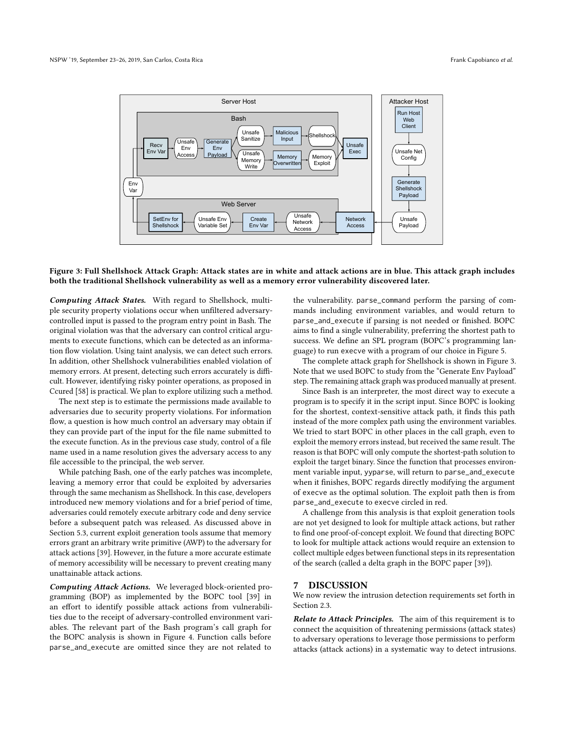

#### Figure 3: Full Shellshock Attack Graph: Attack states are in white and attack actions are in blue. This attack graph includes both the traditional Shellshock vulnerability as well as a memory error vulnerability discovered later.

Computing Attack States. With regard to Shellshock, multiple security property violations occur when unfiltered adversarycontrolled input is passed to the program entry point in Bash. The original violation was that the adversary can control critical arguments to execute functions, which can be detected as an information flow violation. Using taint analysis, we can detect such errors. In addition, other Shellshock vulnerabilities enabled violation of memory errors. At present, detecting such errors accurately is difficult. However, identifying risky pointer operations, as proposed in Ccured [58] is practical. We plan to explore utilizing such a method.

The next step is to estimate the permissions made available to adversaries due to security property violations. For information flow, a question is how much control an adversary may obtain if they can provide part of the input for the file name submitted to the execute function. As in the previous case study, control of a file name used in a name resolution gives the adversary access to any file accessible to the principal, the web server.

While patching Bash, one of the early patches was incomplete, leaving a memory error that could be exploited by adversaries through the same mechanism as Shellshock. In this case, developers introduced new memory violations and for a brief period of time, adversaries could remotely execute arbitrary code and deny service before a subsequent patch was released. As discussed above in Section 5.3, current exploit generation tools assume that memory errors grant an arbitrary write primitive (AWP) to the adversary for attack actions [39]. However, in the future a more accurate estimate of memory accessibility will be necessary to prevent creating many unattainable attack actions.

Computing Attack Actions. We leveraged block-oriented programming (BOP) as implemented by the BOPC tool [39] in an effort to identify possible attack actions from vulnerabilities due to the receipt of adversary-controlled environment variables. The relevant part of the Bash program's call graph for the BOPC analysis is shown in Figure 4. Function calls before parse\_and\_execute are omitted since they are not related to

the vulnerability. parse\_command perform the parsing of commands including environment variables, and would return to parse\_and\_execute if parsing is not needed or finished. BOPC aims to find a single vulnerability, preferring the shortest path to success. We define an SPL program (BOPC's programming language) to run execve with a program of our choice in Figure 5.

The complete attack graph for Shellshock is shown in Figure 3. Note that we used BOPC to study from the "Generate Env Payload" step. The remaining attack graph was produced manually at present.

Since Bash is an interpreter, the most direct way to execute a program is to specify it in the script input. Since BOPC is looking for the shortest, context-sensitive attack path, it finds this path instead of the more complex path using the environment variables. We tried to start BOPC in other places in the call graph, even to exploit the memory errors instead, but received the same result. The reason is that BOPC will only compute the shortest-path solution to exploit the target binary. Since the function that processes environment variable input, yyparse, will return to parse\_and\_execute when it finishes, BOPC regards directly modifying the argument of execve as the optimal solution. The exploit path then is from parse\_and\_execute to execve circled in red.

A challenge from this analysis is that exploit generation tools are not yet designed to look for multiple attack actions, but rather to find one proof-of-concept exploit. We found that directing BOPC to look for multiple attack actions would require an extension to collect multiple edges between functional steps in its representation of the search (called a delta graph in the BOPC paper [39]).

## 7 DISCUSSION

We now review the intrusion detection requirements set forth in Section 2.3.

Relate to Attack Principles. The aim of this requirement is to connect the acquisition of threatening permissions (attack states) to adversary operations to leverage those permissions to perform attacks (attack actions) in a systematic way to detect intrusions.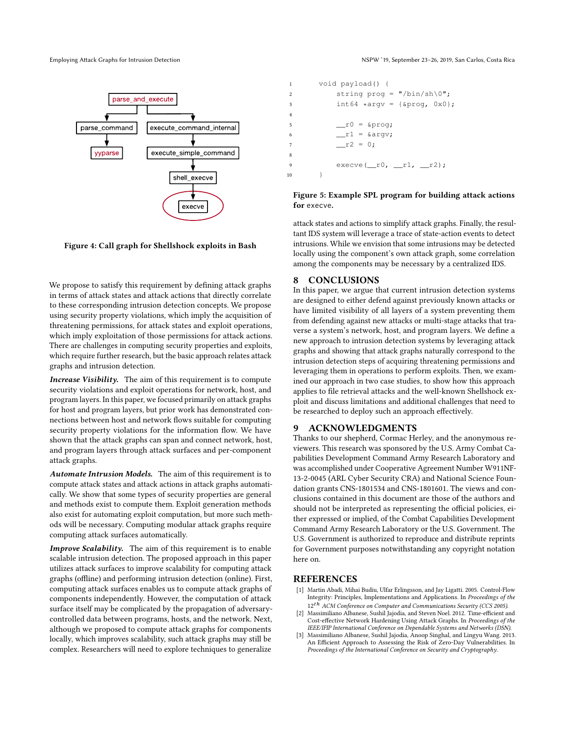

Figure 4: Call graph for Shellshock exploits in Bash

We propose to satisfy this requirement by defining attack graphs in terms of attack states and attack actions that directly correlate to these corresponding intrusion detection concepts. We propose using security property violations, which imply the acquisition of threatening permissions, for attack states and exploit operations, which imply exploitation of those permissions for attack actions. There are challenges in computing security properties and exploits, which require further research, but the basic approach relates attack graphs and intrusion detection.

Increase Visibility. The aim of this requirement is to compute security violations and exploit operations for network, host, and program layers. In this paper, we focused primarily on attack graphs for host and program layers, but prior work has demonstrated connections between host and network flows suitable for computing security property violations for the information flow. We have shown that the attack graphs can span and connect network, host, and program layers through attack surfaces and per-component attack graphs.

Automate Intrusion Models. The aim of this requirement is to compute attack states and attack actions in attack graphs automatically. We show that some types of security properties are general and methods exist to compute them. Exploit generation methods also exist for automating exploit computation, but more such methods will be necessary. Computing modular attack graphs require computing attack surfaces automatically.

Improve Scalability. The aim of this requirement is to enable scalable intrusion detection. The proposed approach in this paper utilizes attack surfaces to improve scalability for computing attack graphs (offline) and performing intrusion detection (online). First, computing attack surfaces enables us to compute attack graphs of components independently. However, the computation of attack surface itself may be complicated by the propagation of adversarycontrolled data between programs, hosts, and the network. Next, although we proposed to compute attack graphs for components locally, which improves scalability, such attack graphs may still be complex. Researchers will need to explore techniques to generalize

```
1 void payload() {
2 string prog = \sqrt{n} /bin/sh\0";
3 \quad \text{int}64 \cdot \text{argv} = {\text{approx, 0x0}};5 \qquad \qquad \text{r0 = \text{approx};}6 \text{I} = \text{arg}v;7 r2 = 0;
9 exe cve (\text{r0}, \text{r1}, \text{r2});
10 }
```
#### Figure 5: Example SPL program for building attack actions for execve.

attack states and actions to simplify attack graphs. Finally, the resultant IDS system will leverage a trace of state-action events to detect intrusions. While we envision that some intrusions may be detected locally using the component's own attack graph, some correlation among the components may be necessary by a centralized IDS.

## 8 CONCLUSIONS

4

8

In this paper, we argue that current intrusion detection systems are designed to either defend against previously known attacks or have limited visibility of all layers of a system preventing them from defending against new attacks or multi-stage attacks that traverse a system's network, host, and program layers. We define a new approach to intrusion detection systems by leveraging attack graphs and showing that attack graphs naturally correspond to the intrusion detection steps of acquiring threatening permissions and leveraging them in operations to perform exploits. Then, we examined our approach in two case studies, to show how this approach applies to file retrieval attacks and the well-known Shellshock exploit and discuss limitations and additional challenges that need to be researched to deploy such an approach effectively.

## 9 ACKNOWLEDGMENTS

Thanks to our shepherd, Cormac Herley, and the anonymous reviewers. This research was sponsored by the U.S. Army Combat Capabilities Development Command Army Research Laboratory and was accomplished under Cooperative Agreement Number W911NF-13-2-0045 (ARL Cyber Security CRA) and National Science Foundation grants CNS-1801534 and CNS-1801601. The views and conclusions contained in this document are those of the authors and should not be interpreted as representing the official policies, either expressed or implied, of the Combat Capabilities Development Command Army Research Laboratory or the U.S. Government. The U.S. Government is authorized to reproduce and distribute reprints for Government purposes notwithstanding any copyright notation here on.

#### REFERENCES

- [1] Martin Abadi, Mihai Budiu, Ulfar Erlingsson, and Jay Ligatti. 2005. Control-Flow Integrity: Principles, Implementations and Applications. In Proceedings of the  $12<sup>th</sup>$  ACM Conference on Computer and Communications Security (CCS 2005).
- Massimiliano Albanese, Sushil Jajodia, and Steven Noel. 2012. Time-efficient and Cost-effective Network Hardening Using Attack Graphs. In Proceedings of the IEEE/IFIP International Conference on Dependable Systems and Networks (DSN).
- [3] Massimiliano Albanese, Sushil Jajodia, Anoop Singhal, and Lingyu Wang. 2013. An Efficient Approach to Assessing the Risk of Zero-Day Vulnerabilities. In Proceedings of the International Conference on Security and Cryptography.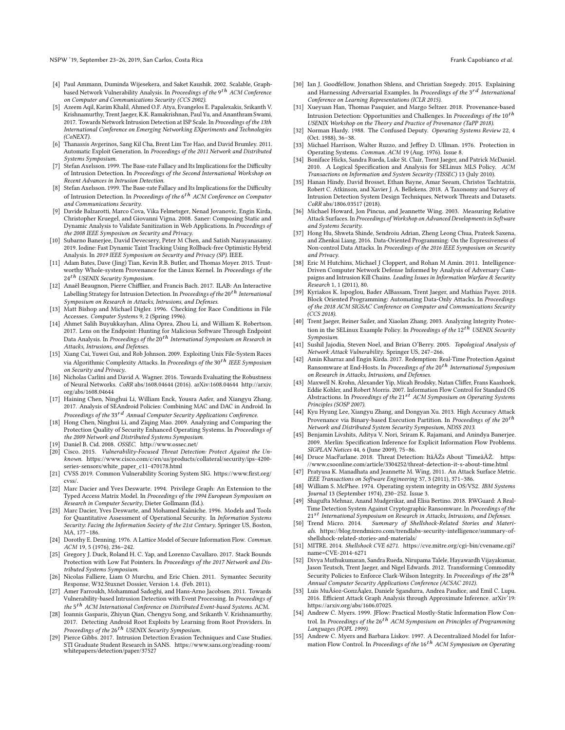NSPW '19, September 23-26, 2019, San Carlos, Costa Rica Frank Capobianco et al.

- [4] Paul Ammann, Duminda Wijesekera, and Saket Kaushik. 2002. Scalable, Graphbased Network Vulnerability Analysis. In Proceedings of the 9<sup>th</sup> ACM Conference on Computer and Communications Security (CCS 2002).
- [5] Azeem Aqil, Karim Khalil, Ahmed O.F. Atya, Evangelos E. Papalexakis, Srikanth V. Krishnamurthy, Trent Jaeger, K.K. Ramakrishnan, Paul Yu, and Ananthram Swami. 2017. Towards Network Intrusion Detection at ISP Scale. In Proceedings of the 13th International Conference on Emerging Networking EXperiments and Technologies (CoNEXT).
- [6] Thanassis Avgerinos, Sang Kil Cha, Brent Lim Tze Hao, and David Brumley. 2011. Automatic Exploit Generation. In Proceedings of the 2011 Network and Distributed Systems Symposium.
- [7] Stefan Axelsson. 1999. The Base-rate Fallacy and Its Implications for the Difficulty of Intrusion Detection. In Proceedings of the Second International Workshop on Recent Advances in Intrusion Detection.
- [8] Stefan Axelsson. 1999. The Base-rate Fallacy and Its Implications for the Difficulty of Intrusion Detection. In Proceedings of the 6<sup>th</sup> ACM Conference on Computer and Communications Security.
- [9] Davide Balzarotti, Marco Cova, Vika Felmetsger, Nenad Jovanovic, Engin Kirda, Christopher Kruegel, and Giovanni Vigna. 2008. Saner: Composing Static and Dynamic Analysis to Validate Sanitization in Web Applications. In Proceedings of the 2008 IEEE Symposium on Security and Privacy.
- [10] Subarno Banerjee, David Devecsery, Peter M Chen, and Satish Narayanasamy. 2019. Iodine: Fast Dynamic Taint Tracking Using Rollback-free Optimistic Hybrid Analysis. In 2019 IEEE Symposium on Security and Privacy (SP). IEEE.
- [11] Adam Bates, Dave (Jing) Tian, Kevin R.B. Butler, and Thomas Moyer. 2015. Trustworthy Whole-system Provenance for the Linux Kernel. In Proceedings of the  $24<sup>th</sup>$  USENIX Security Symposium.
- [12] Anaël Beaugnon, Pierre Chifflier, and Francis Bach. 2017. ILAB: An Interactive Labelling Strategy for Intrusion Detection. In Proceedings of the 20 $^{th}$  International Symposium on Research in Attacks, Intrusions, and Defenses.
- [13] Matt Bishop and Michael Digler. 1996. Checking for Race Conditions in File Accesses. Computer Systems 9, 2 (Spring 1996).
- [14] Ahmet Salih Buyukkayhan, Alina Oprea, Zhou Li, and William K. Robertson. 2017. Lens on the Endpoint: Hunting for Malicious Software Through Endpoint Data Analysis. In Proceedings of the 20th International Symposium on Research in Attacks, Intrusions, and Defenses.
- [15] Xiang Cai, Yuwei Gui, and Rob Johnson. 2009. Exploiting Unix File-System Races via Algorithmic Complexity Attacks. In Proceedings of the  $30^{th}$  IEEE Symposium on Security and Privacy.
- [16] Nicholas Carlini and David A. Wagner. 2016. Towards Evaluating the Robustness of Neural Networks. CoRR abs/1608.04644 (2016). arXiv:1608.04644 http://arxiv. org/abs/1608.04644
- [17] Haining Chen, Ninghui Li, William Enck, Yousra Aafer, and Xiangyu Zhang. 2017. Analysis of SEAndroid Policies: Combining MAC and DAC in Android. In Proceedings of the  $33^{rd}$  Annual Computer Security Applications Conference.
- [18] Hong Chen, Ninghui Li, and Ziqing Mao. 2009. Analyzing and Comparing the Protection Quality of Security Enhanced Operating Systems. In Proceedings of the 2009 Network and Distributed Systems Symposium.
- [19] Daniel B. Cid. 2008. OSSEC. http://www.ossec.net/
- [20] Cisco. 2015. Vulnerability-Focused Threat Detection: Protect Against the Unknown. https://www.cisco.com/c/en/us/products/collateral/security/ips-4200 series-sensors/white\_paper\_c11-470178.html
- [21] CVSS 2019. Common Vulnerability Scoring System SIG. https://www.first.org/ cvss/.
- [22] Marc Dacier and Yves Deswarte. 1994. Privilege Graph: An Extension to the Typed Access Matrix Model. In Proceedings of the 1994 European Symposium on Research in Computer Security, Dieter Gollmann (Ed.).
- [23] Marc Dacier, Yves Deswarte, and Mohamed Kaâniche. 1996. Models and Tools for Quantitative Assessment of Operational Security. In Information Systems Security: Facing the Information Society of the 21st Century. Springer US, Boston, MA, 177–186.
- [24] Dorothy E. Denning. 1976. A Lattice Model of Secure Information Flow. Commun. ACM 19, 5 (1976), 236–242.
- [25] Gregory J. Duck, Roland H. C. Yap, and Lorenzo Cavallaro. 2017. Stack Bounds Protection with Low Fat Pointers. In Proceedings of the 2017 Network and Distributed Systems Symposium.
- [26] Nicolas Falliere, Liam O Murchu, and Eric Chien. 2011. Symantec Security Response, W32.Stuxnet Dossier, Version 1.4. (Feb. 2011).
- [27] Amer Farroukh, Mohammad Sadoghi, and Hans-Arno Jacobsen. 2011. Towards Vulnerability-based Intrusion Detection with Event Processing. In Proceedings of the 5<sup>th</sup> ACM International Conference on Distributed Event-based Systems. ACM.
- [28] Ioannis Gasparis, Zhiyun Qian, Chengyu Song, and Srikanth V. Krishnamurthy. 2017. Detecting Android Root Exploits by Learning from Root Providers. In Proceedings of the 26<sup>th</sup> USENIX Security Symposium.
- [29] Pierce Gibbs. 2017. Intrusion Detection Evasion Techniques and Case Studies. STI Graduate Student Research in SANS. https://www.sans.org/reading-room/ whitepapers/detection/paper/37527
- [30] Ian J. Goodfellow, Jonathon Shlens, and Christian Szegedy. 2015. Explaining and Harnessing Adversarial Examples. In Proceedings of the 3rd International Conference on Learning Representations (ICLR 2015).
- [31] Xueyuan Han, Thomas Pasquier, and Margo Seltzer. 2018. Provenance-based Intrusion Detection: Opportunities and Challenges. In  $Proceedings$  of the  $10^{th}$ USENIX Workshop on the Theory and Practice of Provenance (TaPP 2018).
- [32] Norman Hardy. 1988. The Confused Deputy. Operating Systems Review 22, 4 (Oct. 1988), 36–38.
- [33] Michael Harrison, Walter Ruzzo, and Jeffrey D. Ullman. 1976. Protection in Operating Systems. Commun. ACM 19 (Aug. 1976). Issue 8.
- [34] Boniface Hicks, Sandra Rueda, Luke St. Clair, Trent Jaeger, and Patrick McDaniel. 2010. A Logical Specification and Analysis for SELinux MLS Policy. ACM Transactions on Information and System Security (TISSEC) 13 (July 2010).
- [35] Hanan Hindy, David Brosset, Ethan Bayne, Amar Seeam, Christos Tachtatzis, Robert C. Atkinson, and Xavier J. A. Bellekens. 2018. A Taxonomy and Survey of Intrusion Detection System Design Techniques, Network Threats and Datasets. CoRR abs/1806.03517 (2018).
- [36] Michael Howard, Jon Pincus, and Jeannette Wing. 2003. Measuring Relative Attack Surfaces. In Proceedings of Workshop on Advanced Developments in Software and Systems Security.
- [37] Hong Hu, Shweta Shinde, Sendroiu Adrian, Zheng Leong Chua, Prateek Saxena, and Zhenkai Liang. 2016. Data-Oriented Programming: On the Expressiveness of Non-control Data Attacks. In Proceedings of the 2016 IEEE Symposium on Security and Privacy.
- [38] Eric M Hutchins, Michael J Cloppert, and Rohan M Amin. 2011. Intelligence-Driven Computer Network Defense Informed by Analysis of Adversary Campaigns and Intrusion Kill Chains. Leading Issues in Information Warfare & Security Research 1, 1 (2011), 80.
- [39] Kyriakos K. Ispoglou, Bader AlBassam, Trent Jaeger, and Mathias Payer. 2018. Block Oriented Programming: Automating Data-Only Attacks. In Proceedings of the 2018 ACM SIGSAC Conference on Computer and Communications Security (CCS 2018).
- [40] Trent Jaeger, Reiner Sailer, and Xiaolan Zhang. 2003. Analyzing Integrity Protection in the SELinux Example Policy. In Proceedings of the  $12^{th}$  USENIX Security Symposium.
- [41] Sushil Jajodia, Steven Noel, and Brian O'Berry. 2005. Topological Analysis of Network Attack Vulnerability. Springer US, 247–266.
- [42] Amin Kharraz and Engin Kirda. 2017. Redemption: Real-Time Protection Against Ransomware at End-Hosts. In Proceedings of the  $20<sup>th</sup>$  International Symposium on Research in Attacks, Intrusions, and Defenses.
- [43] Maxwell N. Krohn, Alexander Yip, Micah Brodsky, Natan Cliffer, Frans Kaashoek, Eddie Kohler, and Robert Morris. 2007. Information Flow Control for Standard OS Abstractions. In Proceedings of the  $21^{st}$  ACM Symposium on Operating Systems Principles (SOSP 2007).
- [44] Kyu Hyung Lee, Xiangyu Zhang, and Dongyan Xu. 2013. High Accuracy Attack Provenance via Binary-based Execution Partition. In Proceedings of the  $20^{th}$ Network and Distributed System Security Symposium, NDSS 2013.
- [45] Benjamin Livshits, Aditya V. Nori, Sriram K. Rajamani, and Anindya Banerjee. 2009. Merlin: Specification Inference for Explicit Information Flow Problems. SIGPLAN Notices 44, 6 (June 2009), 75–86.
- [46] Druce MacFarlane. 2018. Threat Detection: ItâĂŹs About 'TimeâĂŹ. https: //www.csoonline.com/article/3304252/threat-detection-it-s-about-time.html
- [47] Pratyusa K. Manadhata and Jeannette M. Wing. 2011. An Attack Surface Metric. IEEE Transactions on Software Engineering 37, 3 (2011), 371–386.
- [48] William S. McPhee. 1974. Operating system integrity in OS/VS2. IBM Systems Journal 13 (September 1974), 230–252. Issue 3.
- [49] Shagufta Mehnaz, Anand Mudgerikar, and Elisa Bertino. 2018. RWGuard: A Real-Time Detection System Against Cryptographic Ransomware. In Proceedings of the  $21^{st}$  International Symposium on Research in Attacks, Intrusions, and Defenses.
- [50] Trend Micro. 2014. Summary of Shellshock-Related Stories and Materials. https://blog.trendmicro.com/trendlabs-security-intelligence/summary-ofshellshock-related-stories-and-materials/
- [51] MITRE. 2014. Shellshock CVE 6271. https://cve.mitre.org/cgi-bin/cvename.cgi? name=CVE-2014-6271
- [52] Divya Muthukumaran, Sandra Rueda, Nirupama Talele, Hayawardh Vijayakumar, Jason Teutsch, Trent Jaeger, and Nigel Edwards. 2012. Transforming Commodity Security Policies to Enforce Clark-Wilson Integrity. In Proceedings of the 28<sup>th</sup> Annual Computer Security Applications Conference (ACSAC 2012).
- [53] Luis MuÃśoz-GonzÃąlez, Daniele Sgandurra, Andrea Paudice, and Emil C. Lupu. 2016. Efficient Attack Graph Analysis through Approximate Inference. arXiv'19: https://arxiv.org/abs/1606.07025.
- [54] Andrew C. Myers. 1999. JFlow: Practical Mostly-Static Information Flow Control. In Proceedings of the  $26^{th}$  ACM Symposium on Principles of Programming Languages (POPL 1999).
- [55] Andrew C. Myers and Barbara Liskov. 1997. A Decentralized Model for Information Flow Control. In Proceedings of the  $16<sup>th</sup>$  ACM Symposium on Operating